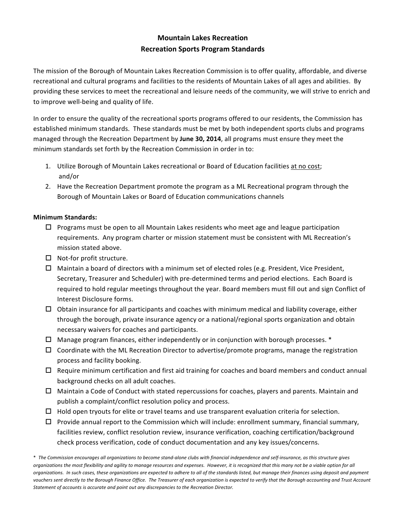# **Mountain Lakes Recreation Recreation Sports Program Standards**

The mission of the Borough of Mountain Lakes Recreation Commission is to offer quality, affordable, and diverse recreational and cultural programs and facilities to the residents of Mountain Lakes of all ages and abilities. By providing these services to meet the recreational and leisure needs of the community, we will strive to enrich and to improve well-being and quality of life.

In order to ensure the quality of the recreational sports programs offered to our residents, the Commission has established minimum standards. These standards must be met by both independent sports clubs and programs managed through the Recreation Department by June 30, 2014, all programs must ensure they meet the minimum standards set forth by the Recreation Commission in order in to:

- 1. Utilize Borough of Mountain Lakes recreational or Board of Education facilities at no cost; and/or
- 2. Have the Recreation Department promote the program as a ML Recreational program through the Borough of Mountain Lakes or Board of Education communications channels

# **Minimum Standards:**

- $\Box$  Programs must be open to all Mountain Lakes residents who meet age and league participation requirements. Any program charter or mission statement must be consistent with ML Recreation's mission stated above.
- $\Box$  Not-for profit structure.
- $\Box$  Maintain a board of directors with a minimum set of elected roles (e.g. President, Vice President, Secretary, Treasurer and Scheduler) with pre-determined terms and period elections. Each Board is required to hold regular meetings throughout the year. Board members must fill out and sign Conflict of Interest Disclosure forms.
- $\Box$  Obtain insurance for all participants and coaches with minimum medical and liability coverage, either through the borough, private insurance agency or a national/regional sports organization and obtain necessary waivers for coaches and participants.
- $\Box$  Manage program finances, either independently or in conjunction with borough processes.  $*$
- $\Box$  Coordinate with the ML Recreation Director to advertise/promote programs, manage the registration process and facility booking.
- $\Box$  Require minimum certification and first aid training for coaches and board members and conduct annual background checks on all adult coaches.
- $\Box$  Maintain a Code of Conduct with stated repercussions for coaches, players and parents. Maintain and publish a complaint/conflict resolution policy and process.
- $\Box$  Hold open tryouts for elite or travel teams and use transparent evaluation criteria for selection.
- $\Box$  Provide annual report to the Commission which will include: enrollment summary, financial summary, facilities review, conflict resolution review, insurance verification, coaching certification/background check process verification, code of conduct documentation and any key issues/concerns.

<sup>\*</sup> The Commission encourages all organizations to become stand-alone clubs with financial independence and self-insurance, as this structure gives organizations the most flexibility and agility to manage resources and expenses. However, it is recognized that this many not be a viable option for all organizations. In such cases, these organizations are expected to adhere to all of the standards listed, but manage their finances using deposit and payment vouchers sent directly to the Borough Finance Office. The Treasurer of each organization is expected to verify that the Borough accounting and Trust Account Statement of accounts is accurate and point out any discrepancies to the Recreation Director.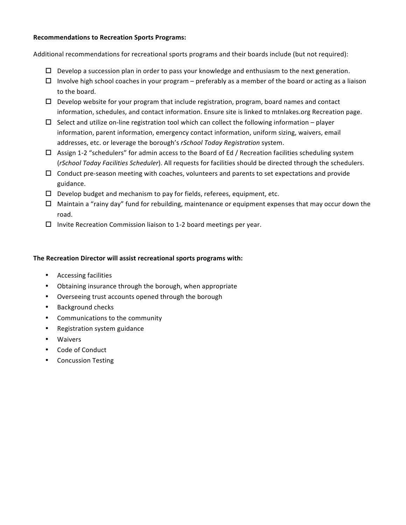#### **Recommendations to Recreation Sports Programs:**

Additional recommendations for recreational sports programs and their boards include (but not required):

- $\Box$  Develop a succession plan in order to pass your knowledge and enthusiasm to the next generation.
- $\Box$  Involve high school coaches in your program preferably as a member of the board or acting as a liaison to the board.
- $\Box$  Develop website for your program that include registration, program, board names and contact information, schedules, and contact information. Ensure site is linked to mtnlakes.org Recreation page.
- $\Box$  Select and utilize on-line registration tool which can collect the following information player information, parent information, emergency contact information, uniform sizing, waivers, email addresses, etc. or leverage the borough's *rSchool Today Registration* system.
- $\Box$  Assign 1-2 "schedulers" for admin access to the Board of Ed / Recreation facilities scheduling system (*rSchool Today Facilities Scheduler*). All requests for facilities should be directed through the schedulers.
- $\Box$  Conduct pre-season meeting with coaches, volunteers and parents to set expectations and provide guidance.
- $\Box$  Develop budget and mechanism to pay for fields, referees, equipment, etc.
- $\Box$  Maintain a "rainy day" fund for rebuilding, maintenance or equipment expenses that may occur down the road.
- $\Box$  Invite Recreation Commission liaison to 1-2 board meetings per year.

## **The Recreation Director will assist recreational sports programs with:**

- Accessing facilities
- Obtaining insurance through the borough, when appropriate
- Overseeing trust accounts opened through the borough
- Background checks
- Communications to the community
- Registration system guidance
- **Waivers**
- Code of Conduct
- Concussion Testing